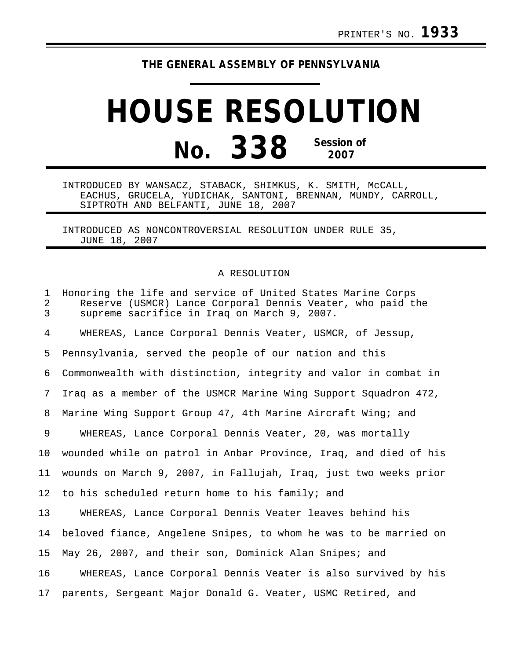## **THE GENERAL ASSEMBLY OF PENNSYLVANIA**

## **HOUSE RESOLUTION No. 338 Session of 2007**

INTRODUCED BY WANSACZ, STABACK, SHIMKUS, K. SMITH, McCALL, EACHUS, GRUCELA, YUDICHAK, SANTONI, BRENNAN, MUNDY, CARROLL, SIPTROTH AND BELFANTI, JUNE 18, 2007

INTRODUCED AS NONCONTROVERSIAL RESOLUTION UNDER RULE 35, JUNE 18, 2007

## A RESOLUTION

| 1<br>$\overline{2}$<br>3 | Honoring the life and service of United States Marine Corps<br>Reserve (USMCR) Lance Corporal Dennis Veater, who paid the<br>supreme sacrifice in Iraq on March 9, 2007. |
|--------------------------|--------------------------------------------------------------------------------------------------------------------------------------------------------------------------|
| 4                        | WHEREAS, Lance Corporal Dennis Veater, USMCR, of Jessup,                                                                                                                 |
| 5                        | Pennsylvania, served the people of our nation and this                                                                                                                   |
| 6                        | Commonwealth with distinction, integrity and valor in combat in                                                                                                          |
| 7                        | Iraq as a member of the USMCR Marine Wing Support Squadron 472,                                                                                                          |
| 8                        | Marine Wing Support Group 47, 4th Marine Aircraft Wing; and                                                                                                              |
| 9                        | WHEREAS, Lance Corporal Dennis Veater, 20, was mortally                                                                                                                  |
| 10 <sub>1</sub>          | wounded while on patrol in Anbar Province, Iraq, and died of his                                                                                                         |
| 11                       | wounds on March 9, 2007, in Fallujah, Iraq, just two weeks prior                                                                                                         |
| 12                       | to his scheduled return home to his family; and                                                                                                                          |
| 13                       | WHEREAS, Lance Corporal Dennis Veater leaves behind his                                                                                                                  |
| 14                       | beloved fiance, Angelene Snipes, to whom he was to be married on                                                                                                         |
| 15                       | May 26, 2007, and their son, Dominick Alan Snipes; and                                                                                                                   |
| 16                       | WHEREAS, Lance Corporal Dennis Veater is also survived by his                                                                                                            |
| 17                       | parents, Sergeant Major Donald G. Veater, USMC Retired, and                                                                                                              |